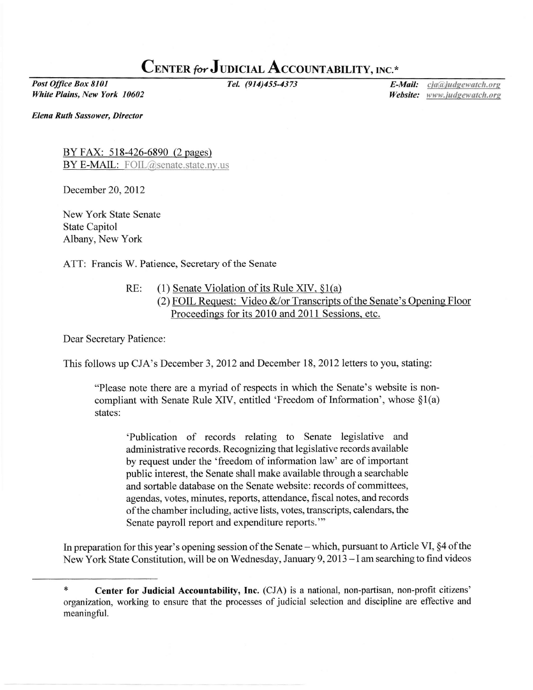## CENTER for JUDICIAL ACCOUNTABILITY, INC.\*

Post Office Box 8101 White Plains, New York 10602

Tel. (914)455-4373 **E-Mail:** *C*ja@judgewatch.org Website: www.judgewatch.org

Elena Ruth Sassower, Director

BY FAX: 518-426-6890 (2 pages) BY E-MAIL: FOIL@senate.state.ny.us

December 20,2012

New York State Senate State Capitol Albany, New York

ATT: Francis W. Patience, Secretary of the Senate

RE: (1) Senate Violation of its Rule XIV,  $\S$ 1(a) (2) FOIL Request: Video  $&\&/$  or Transcripts of the Senate's Opening Floor Proceedines for its 2010 and 2011 Sessions. etc.

Dear Secretary Patience:

This follows up CJA's December 3, 2012 and December 18, 2012 letters to you, stating:

"Please note there are a myriad of respects in which the Senate's website is noncompliant with Senate Rule XIV, entitled 'Freedom of Information', whose  $\S1(a)$ states:

'Publication of records relating to Senate legislative and administrative records. Recognizing that legislative records available by request under the 'freedom of information law' are of important public interest, the Senate shall make available through a searchable and sortable database on the Senate website: records of committees, agendas, votes, minutes, reports, attendance, fiscal notes, andrecords of the chamber including, active lists, votes, transcripts, calendars, the Senate payroll report and expenditure reports."'

In preparation for this year's opening session of the Senate – which, pursuant to Article VI, §4 of the New York State Constitution, will be on Wednesday, January 9,2013 - I am searching to find videos

<sup>\*</sup> Center for Judicial Accountability, Inc. (CJA) is a national, non-partisan, non-profit citizens' organization, working to ensure that the processes of judicial selection and discipline are effective and meaningful.